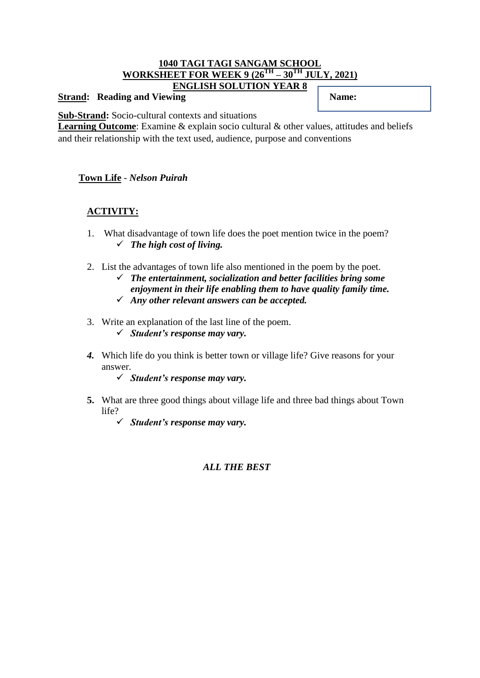#### **1040 TAGI TAGI SANGAM SCHOOL WORKSHEET FOR WEEK 9 (26TH – 30TH JULY, 2021) ENGLISH SOLUTION YEAR 8**

#### **Strand:** Reading and Viewing **Name: Name: Name:**

**Sub-Strand:** Socio-cultural contexts and situations

Learning Outcome: Examine & explain socio cultural & other values, attitudes and beliefs and their relationship with the text used, audience, purpose and conventions

#### **Town Life** - *Nelson Puirah*

# **ACTIVITY:**

- 1. What disadvantage of town life does the poet mention twice in the poem? *The high cost of living.*
- 2. List the advantages of town life also mentioned in the poem by the poet.
	- *The entertainment, socialization and better facilities bring some enjoyment in their life enabling them to have quality family time.*
	- *Any other relevant answers can be accepted.*
- 3. Write an explanation of the last line of the poem.
	- *Student's response may vary.*
- *4.* Which life do you think is better town or village life? Give reasons for your answer.
	- *Student's response may vary.*
- **5.** What are three good things about village life and three bad things about Town life?
	- *Student's response may vary.*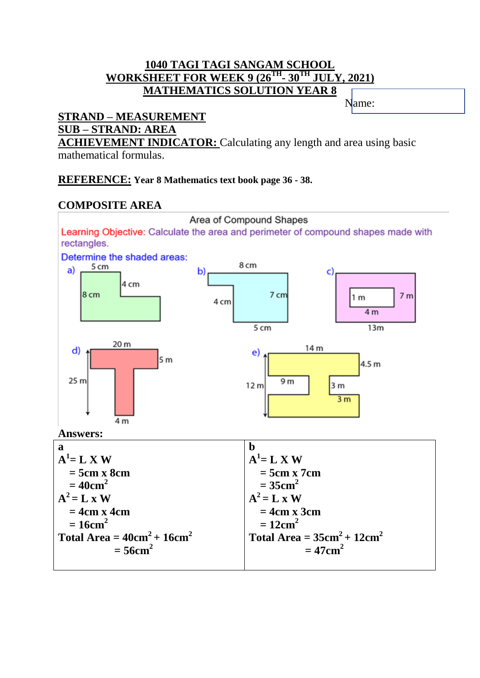# **1040 TAGI TAGI SANGAM SCHOOL WORKSHEET FOR WEEK 9 (26TH - 30TH JULY, 2021) MATHEMATICS SOLUTION YEAR 8**

Name: Name:

# **STRAND – MEASUREMENT SUB – STRAND: AREA**

**ACHIEVEMENT INDICATOR:** Calculating any length and area using basic mathematical formulas.

# **REFERENCE: Year 8 Mathematics text book page 36 - 38.**

# **COMPOSITE AREA**

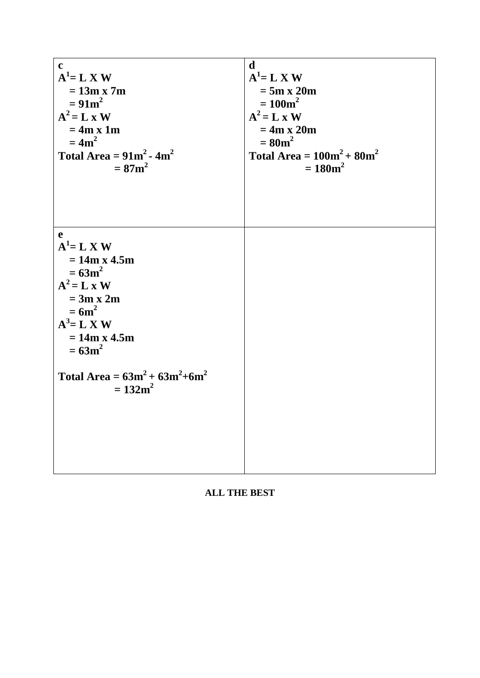| $\mathbf c$                                                                                                                                                                                             | d                             |
|---------------------------------------------------------------------------------------------------------------------------------------------------------------------------------------------------------|-------------------------------|
| $A^1 = L X W$                                                                                                                                                                                           | $A^1 = L X W$                 |
| $= 13m x 7m$                                                                                                                                                                                            | $= 5m \times 20m$             |
| $= 91m^2$                                                                                                                                                                                               | $= 100m^2$                    |
| $A^2 = L \times W$                                                                                                                                                                                      | $A^2 = L \times W$            |
| $= 4m x 1m$                                                                                                                                                                                             | $= 4m x 20m$                  |
| $= 4m2$                                                                                                                                                                                                 | $= 80m^2$                     |
| Total Area = $91m^2 - 4m^2$                                                                                                                                                                             | Total Area = $100m^2 + 80m^2$ |
| $= 87$ m <sup>2</sup>                                                                                                                                                                                   | $= 180 m^2$                   |
| e<br>$A^1 = L X W$<br>$= 14m x 4.5m$<br>$= 63m^2$<br>$A^2 = L \times W$<br>$= 3m x 2m$<br>$=6m^2$<br>$A^3 = L X W$<br>$= 14m x 4.5m$<br>$= 63m^2$<br>Total Area = $63m^2 + 63m^2 + 6m^2$<br>$= 132 m^2$ |                               |

**ALL THE BEST**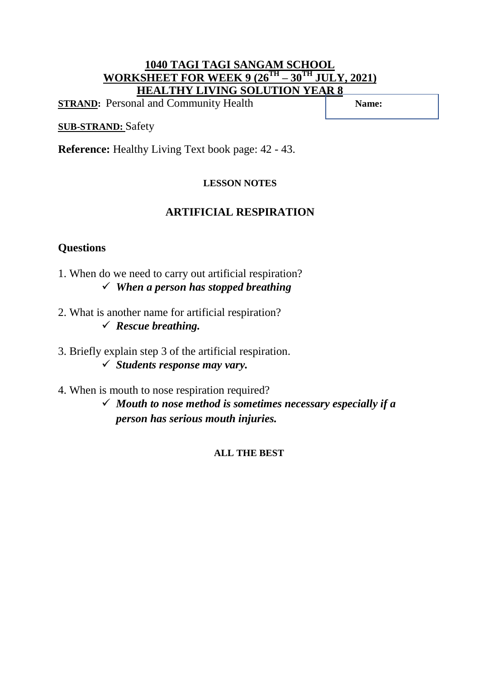# **1040 TAGI TAGI SANGAM SCHOOL WORKSHEET FOR WEEK 9 (26TH – 30TH JULY, 2021) HEALTHY LIVING SOLUTION YEAR 8**

**STRAND:** Personal and Community Health **Name: Name: Name: Name: Name: Name: Name: Name: Name: Name: Name: Name: Name: Name: Name: Name: Name: Name: Name: Name: Name: Name: Name:** 

# **SUB-STRAND:** Safety

**Reference:** Healthy Living Text book page: 42 - 43.

### **LESSON NOTES**

# **ARTIFICIAL RESPIRATION**

# **Questions**

- 1. When do we need to carry out artificial respiration? *When a person has stopped breathing*
- 2. What is another name for artificial respiration? *Rescue breathing.*
- 3. Briefly explain step 3 of the artificial respiration. *Students response may vary.*
- 4. When is mouth to nose respiration required?
	- *Mouth to nose method is sometimes necessary especially if a person has serious mouth injuries.*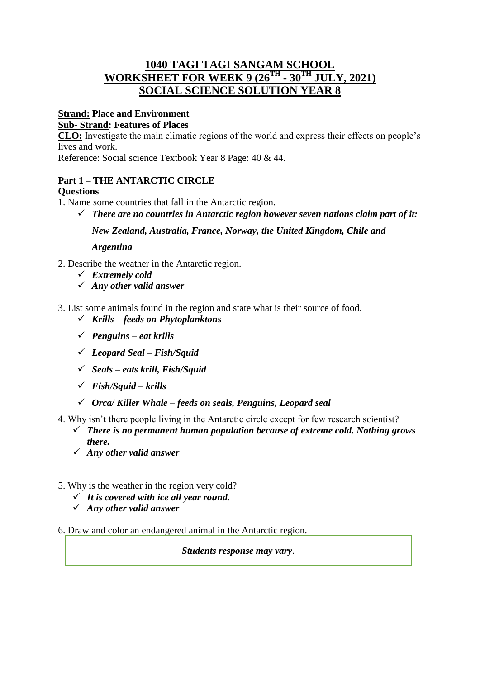# **1040 TAGI TAGI SANGAM SCHOOL WORKSHEET FOR WEEK 9 (26TH - 30TH JULY, 2021) SOCIAL SCIENCE SOLUTION YEAR 8**

#### **Strand: Place and Environment Sub- Strand: Features of Places**

**CLO:** Investigate the main climatic regions of the world and express their effects on people's lives and work.

Reference: Social science Textbook Year 8 Page: 40 & 44.

#### **Part 1 – THE ANTARCTIC CIRCLE Questions**

- 1. Name some countries that fall in the Antarctic region.
	- *There are no countries in Antarctic region however seven nations claim part of it:*

*New Zealand, Australia, France, Norway, the United Kingdom, Chile and* 

#### *Argentina*

- 2. Describe the weather in the Antarctic region.
	- *Extremely cold*
	- *Any other valid answer*
- 3. List some animals found in the region and state what is their source of food.
	- *Krills – feeds on Phytoplanktons*
	- *Penguins – eat krills*
	- *Leopard Seal – Fish/Squid*
	- *Seals – eats krill, Fish/Squid*
	- *Fish/Squid – krills*
	- *Orca/ Killer Whale – feeds on seals, Penguins, Leopard seal*
- 4. Why isn't there people living in the Antarctic circle except for few research scientist?
	- *There is no permanent human population because of extreme cold. Nothing grows there.*
	- *Any other valid answer*
- 5. Why is the weather in the region very cold?
	- *It is covered with ice all year round.*
	- *Any other valid answer*
- 6. Draw and color an endangered animal in the Antarctic region.

*Students response may vary*.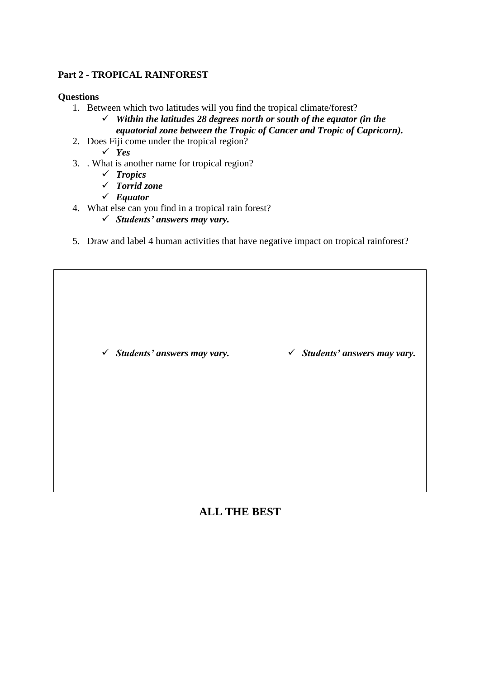#### **Part 2 - TROPICAL RAINFOREST**

#### **Questions**

- 1. Between which two latitudes will you find the tropical climate/forest?
	- *Within the latitudes 28 degrees north or south of the equator (in the equatorial zone between the Tropic of Cancer and Tropic of Capricorn).*
- 2. Does Fiji come under the tropical region?

*Yes* 

- 3. . What is another name for tropical region?
	- *Tropics*
	- *Torrid zone*
	- *Equator*
- 4. What else can you find in a tropical rain forest?
	- *Students' answers may vary.*
- 5. Draw and label 4 human activities that have negative impact on tropical rainforest?